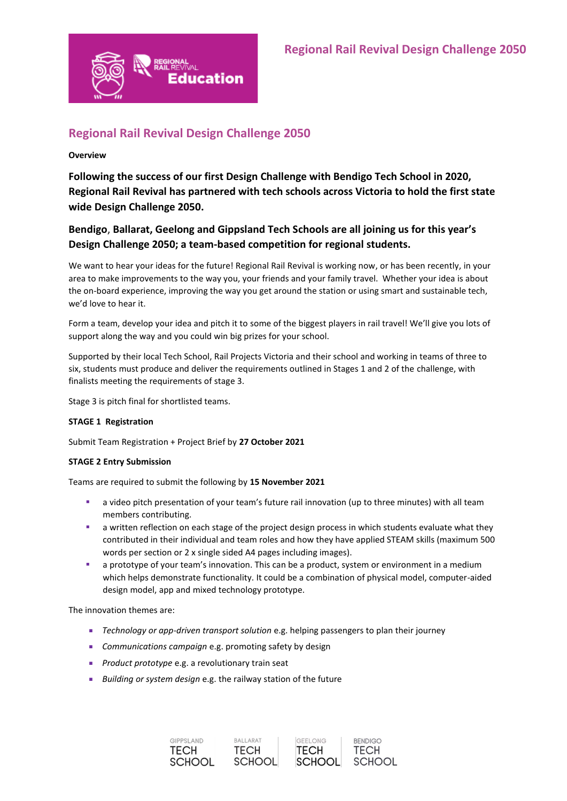

# **Regional Rail Revival Design Challenge 2050**

#### **Overview**

**Following the success of our first Design Challenge with Bendigo Tech School in 2020, Regional Rail Revival has partnered with tech schools across Victoria to hold the first state wide Design Challenge 2050.** 

# **Bendigo**, **Ballarat, Geelong and Gippsland Tech Schools are all joining us for this year's Design Challenge 2050; a team-based competition for regional students.**

We want to hear your ideas for the future! Regional Rail Revival is working now, or has been recently, in your area to make improvements to the way you, your friends and your family travel. Whether your idea is about the on-board experience, improving the way you get around the station or using smart and sustainable tech, we'd love to hear it.

Form a team, develop your idea and pitch it to some of the biggest players in rail travel! We'll give you lots of support along the way and you could win big prizes for your school.

Supported by their local Tech School, Rail Projects Victoria and their school and working in teams of three to six, students must produce and deliver the requirements outlined in Stages 1 and 2 of the challenge, with finalists meeting the requirements of stage 3.

Stage 3 is pitch final for shortlisted teams.

#### **STAGE 1 Registration**

Submit Team Registration + Project Brief by **27 October 2021**

#### **STAGE 2 Entry Submission**

Teams are required to submit the following by **15 November 2021**

- **•** a video pitch presentation of your team's future rail innovation (up to three minutes) with all team members contributing.
- **■** a written reflection on each stage of the project design process in which students evaluate what they contributed in their individual and team roles and how they have applied STEAM skills (maximum 500 words per section or 2 x single sided A4 pages including images).
- a prototype of your team's innovation. This can be a product, system or environment in a medium which helps demonstrate functionality. It could be a combination of physical model, computer-aided design model, app and mixed technology prototype.

The innovation themes are:

- *Technology or app-driven transport solution* e.g. helping passengers to plan their journey
- *Communications campaign* e.g. promoting safety by design
- *Product prototype* e.g. a revolutionary train seat
- *Building or system design* e.g. the railway station of the future

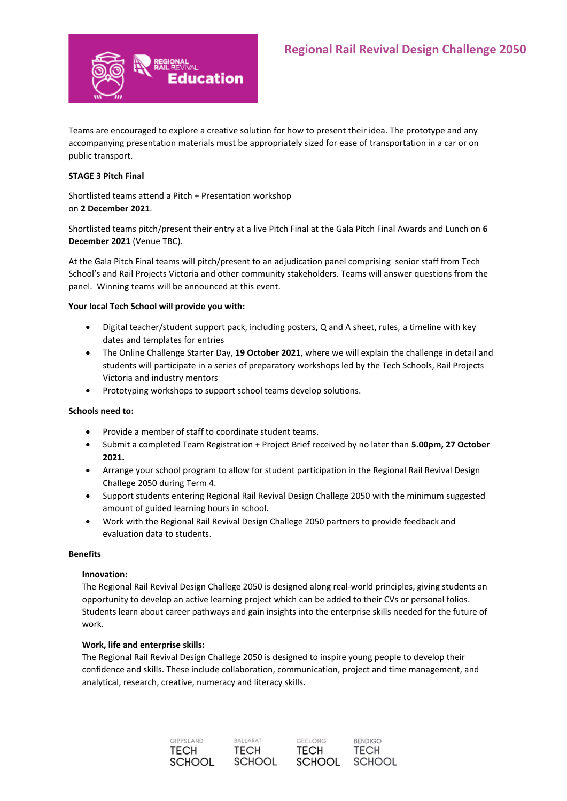

Teams are encouraged to explore a creative solution for how to present their idea. The prototype and any accompanying presentation materials must be appropriately sized for ease of transportation in a car or on public transport.

## **STAGE 3 Pitch Final**

Shortlisted teams attend a Pitch + Presentation workshop on **2 December 2021**.

Shortlisted teams pitch/present their entry at a live Pitch Final at the Gala Pitch Final Awards and Lunch on **6 December 2021** (Venue TBC).

At the Gala Pitch Final teams will pitch/present to an adjudication panel comprising senior staff from Tech School's and Rail Projects Victoria and other community stakeholders. Teams will answer questions from the panel. Winning teams will be announced at this event.

### **Your local Tech School will provide you with:**

- Digital teacher/student support pack, including posters, Q and A sheet, rules, a timeline with key dates and templates for entries
- The Online Challenge Starter Day, **19 October 2021**, where we will explain the challenge in detail and students will participate in a series of preparatory workshops led by the Tech Schools, Rail Projects Victoria and industry mentors
- Prototyping workshops to support school teams develop solutions.

#### **Schools need to:**

- Provide a member of staff to coordinate student teams.
- Submit a completed Team Registration + Project Brief received by no later than **5.00pm, 27 October 2021.**
- Arrange your school program to allow for student participation in the Regional Rail Revival Design Challege 2050 during Term 4.
- Support students entering Regional Rail Revival Design Challege 2050 with the minimum suggested amount of guided learning hours in school.
- Work with the Regional Rail Revival Design Challege 2050 partners to provide feedback and evaluation data to students.

#### **Benefits**

#### **Innovation:**

The Regional Rail Revival Design Challege 2050 is designed along real-world principles, giving students an opportunity to develop an active learning project which can be added to their CVs or personal folios. Students learn about career pathways and gain insights into the enterprise skills needed for the future of work.

#### **Work, life and enterprise skills:**

The Regional Rail Revival Design Challege 2050 is designed to inspire young people to develop their confidence and skills. These include collaboration, communication, project and time management, and analytical, research, creative, numeracy and literacy skills.

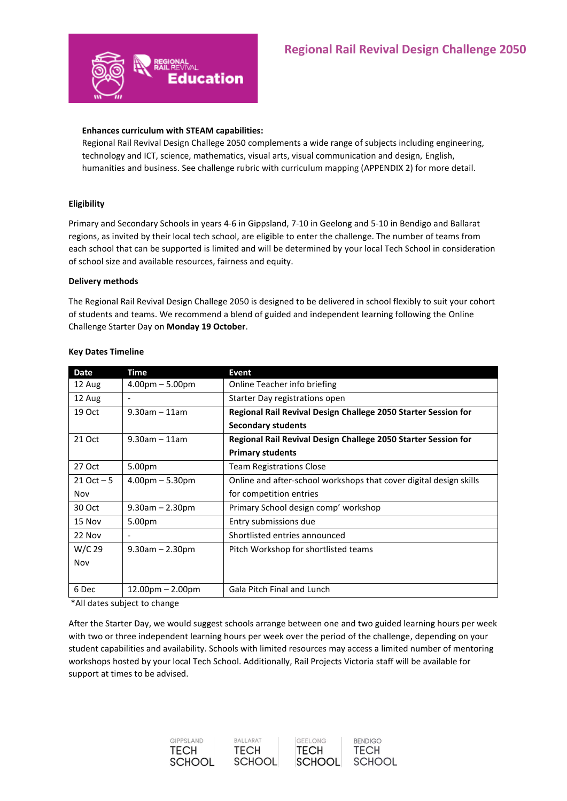

#### **Enhances curriculum with STEAM capabilities:**

Regional Rail Revival Design Challege 2050 complements a wide range of subjects including engineering, technology and ICT, science, mathematics, visual arts, visual communication and design, English, humanities and business. See challenge rubric with curriculum mapping (APPENDIX 2) for more detail.

#### **Eligibility**

Primary and Secondary Schools in years 4-6 in Gippsland, 7-10 in Geelong and 5-10 in Bendigo and Ballarat regions, as invited by their local tech school, are eligible to enter the challenge. The number of teams from each school that can be supported is limited and will be determined by your local Tech School in consideration of school size and available resources, fairness and equity.

#### **Delivery methods**

The Regional Rail Revival Design Challege 2050 is designed to be delivered in school flexibly to suit your cohort of students and teams. We recommend a blend of guided and independent learning following the Online Challenge Starter Day on **Monday 19 October**.

| <b>Date</b>   | Time                     | Event                                                              |
|---------------|--------------------------|--------------------------------------------------------------------|
| 12 Aug        | $4.00pm - 5.00pm$        | Online Teacher info briefing                                       |
| 12 Aug        | $\overline{\phantom{a}}$ | Starter Day registrations open                                     |
| 19 Oct        | $9.30$ am - 11am         | Regional Rail Revival Design Challege 2050 Starter Session for     |
|               |                          | <b>Secondary students</b>                                          |
| 21 Oct        | $9.30$ am - 11am         | Regional Rail Revival Design Challege 2050 Starter Session for     |
|               |                          | <b>Primary students</b>                                            |
| 27 Oct        | 5.00pm                   | <b>Team Registrations Close</b>                                    |
| $21$ Oct $-5$ | $4.00pm - 5.30pm$        | Online and after-school workshops that cover digital design skills |
| Nov           |                          | for competition entries                                            |
| 30 Oct        | $9.30$ am $- 2.30$ pm    | Primary School design comp' workshop                               |
| 15 Nov        | 5.00pm                   | Entry submissions due                                              |
| 22 Nov        | $\overline{\phantom{a}}$ | Shortlisted entries announced                                      |
| W/C 29        | $9.30$ am $- 2.30$ pm    | Pitch Workshop for shortlisted teams                               |
| Nov           |                          |                                                                    |
|               |                          |                                                                    |
| 6 Dec         | $12.00pm - 2.00pm$       | <b>Gala Pitch Final and Lunch</b>                                  |

#### **Key Dates Timeline**

\*All dates subject to change

After the Starter Day, we would suggest schools arrange between one and two guided learning hours per week with two or three independent learning hours per week over the period of the challenge, depending on your student capabilities and availability. Schools with limited resources may access a limited number of mentoring workshops hosted by your local Tech School. Additionally, Rail Projects Victoria staff will be available for support at times to be advised.





**RENDIGO** 

**TECH** 

**SCHOOL**